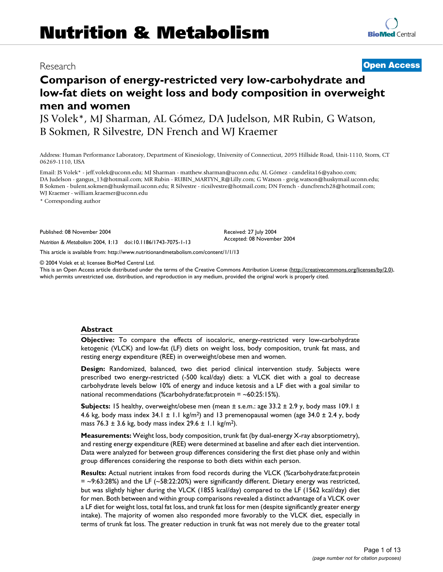## Research **[Open Access](http://www.biomedcentral.com/info/about/charter/)**

# **Comparison of energy-restricted very low-carbohydrate and low-fat diets on weight loss and body composition in overweight men and women**

JS Volek\*, MJ Sharman, AL Gómez, DA Judelson, MR Rubin, G Watson, B Sokmen, R Silvestre, DN French and WJ Kraemer

Address: Human Performance Laboratory, Department of Kinesiology, University of Connecticut, 2095 Hillside Road, Unit-1110, Storrs, CT 06269-1110, USA

Email: JS Volek\* - jeff.volek@uconn.edu; MJ Sharman - matthew.sharman@uconn.edu; AL Gómez - candelita16@yahoo.com; DA Judelson - gangus\_13@hotmail.com; MR Rubin - RUBIN\_MARTYN\_R@Lilly.com; G Watson - greig.watson@huskymail.uconn.edu; B Sokmen - bulent.sokmen@huskymail.uconn.edu; R Silvestre - ricsilvestre@hotmail.com; DN French - duncfrench28@hotmail.com; WJ Kraemer - william.kraemer@uconn.edu

\* Corresponding author

Published: 08 November 2004

*Nutrition & Metabolism* 2004, **1**:13 doi:10.1186/1743-7075-1-13

[This article is available from: http://www.nutritionandmetabolism.com/content/1/1/13](http://www.nutritionandmetabolism.com/content/1/1/13)

© 2004 Volek et al; licensee BioMed Central Ltd.

This is an Open Access article distributed under the terms of the Creative Commons Attribution License [\(http://creativecommons.org/licenses/by/2.0\)](http://creativecommons.org/licenses/by/2.0), which permits unrestricted use, distribution, and reproduction in any medium, provided the original work is properly cited.

Received: 27 July 2004 Accepted: 08 November 2004

#### **Abstract**

**Objective:** To compare the effects of isocaloric, energy-restricted very low-carbohydrate ketogenic (VLCK) and low-fat (LF) diets on weight loss, body composition, trunk fat mass, and resting energy expenditure (REE) in overweight/obese men and women.

**Design:** Randomized, balanced, two diet period clinical intervention study. Subjects were prescribed two energy-restricted (-500 kcal/day) diets: a VLCK diet with a goal to decrease carbohydrate levels below 10% of energy and induce ketosis and a LF diet with a goal similar to national recommendations (%carbohydrate:fat:protein =  $~60:25:15%$ ).

**Subjects:** 15 healthy, overweight/obese men (mean ± s.e.m.: age 33.2 ± 2.9 y, body mass 109.1 ± 4.6 kg, body mass index  $34.1 \pm 1.1$  kg/m<sup>2</sup>) and 13 premenopausal women (age  $34.0 \pm 2.4$  y, body mass 76.3 ± 3.6 kg, body mass index 29.6 ± 1.1 kg/m<sup>2</sup>).

**Measurements:** Weight loss, body composition, trunk fat (by dual-energy X-ray absorptiometry), and resting energy expenditure (REE) were determined at baseline and after each diet intervention. Data were analyzed for between group differences considering the first diet phase only and within group differences considering the response to both diets within each person.

**Results:** Actual nutrient intakes from food records during the VLCK (%carbohydrate:fat:protein  $=$  ~9:63:28%) and the LF (~58:22:20%) were significantly different. Dietary energy was restricted, but was slightly higher during the VLCK (1855 kcal/day) compared to the LF (1562 kcal/day) diet for men. Both between and within group comparisons revealed a distinct advantage of a VLCK over a LF diet for weight loss, total fat loss, and trunk fat loss for men (despite significantly greater energy intake). The majority of women also responded more favorably to the VLCK diet, especially in terms of trunk fat loss. The greater reduction in trunk fat was not merely due to the greater total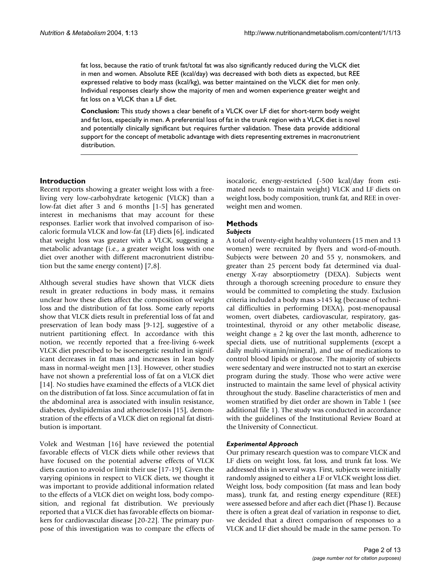fat loss, because the ratio of trunk fat/total fat was also significantly reduced during the VLCK diet in men and women. Absolute REE (kcal/day) was decreased with both diets as expected, but REE expressed relative to body mass (kcal/kg), was better maintained on the VLCK diet for men only. Individual responses clearly show the majority of men and women experience greater weight and fat loss on a VLCK than a LF diet.

**Conclusion:** This study shows a clear benefit of a VLCK over LF diet for short-term body weight and fat loss, especially in men. A preferential loss of fat in the trunk region with a VLCK diet is novel and potentially clinically significant but requires further validation. These data provide additional support for the concept of metabolic advantage with diets representing extremes in macronutrient distribution.

#### **Introduction**

Recent reports showing a greater weight loss with a freeliving very low-carbohydrate ketogenic (VLCK) than a low-fat diet after 3 and 6 months [1-5] has generated interest in mechanisms that may account for these responses. Earlier work that involved comparison of isocaloric formula VLCK and low-fat (LF) diets [6], indicated that weight loss was greater with a VLCK, suggesting a metabolic advantage (i.e., a greater weight loss with one diet over another with different macronutrient distribution but the same energy content) [7,8].

Although several studies have shown that VLCK diets result in greater reductions in body mass, it remains unclear how these diets affect the composition of weight loss and the distribution of fat loss. Some early reports show that VLCK diets result in preferential loss of fat and preservation of lean body mass [9-12], suggestive of a nutrient partitioning effect. In accordance with this notion, we recently reported that a free-living 6-week VLCK diet prescribed to be isoenergetic resulted in significant decreases in fat mass and increases in lean body mass in normal-weight men [13]. However, other studies have not shown a preferential loss of fat on a VLCK diet [14]. No studies have examined the effects of a VLCK diet on the distribution of fat loss. Since accumulation of fat in the abdominal area is associated with insulin resistance, diabetes, dyslipidemias and atherosclerosis [15], demonstration of the effects of a VLCK diet on regional fat distribution is important.

Volek and Westman [16] have reviewed the potential favorable effects of VLCK diets while other reviews that have focused on the potential adverse effects of VLCK diets caution to avoid or limit their use [17-19]. Given the varying opinions in respect to VLCK diets, we thought it was important to provide additional information related to the effects of a VLCK diet on weight loss, body composition, and regional fat distribution. We previously reported that a VLCK diet has favorable effects on biomarkers for cardiovascular disease [20-22]. The primary purpose of this investigation was to compare the effects of isocaloric, energy-restricted (-500 kcal/day from estimated needs to maintain weight) VLCK and LF diets on weight loss, body composition, trunk fat, and REE in overweight men and women.

### **Methods**

#### *Subjects*

A total of twenty-eight healthy volunteers (15 men and 13 women) were recruited by flyers and word-of-mouth. Subjects were between 20 and 55 y, nonsmokers, and greater than 25 percent body fat determined via dualenergy X-ray absorptiometry (DEXA). Subjects went through a thorough screening procedure to ensure they would be committed to completing the study. Exclusion criteria included a body mass >145 kg (because of technical difficulties in performing DEXA), post-menopausal women, overt diabetes, cardiovascular, respiratory, gastrointestinal, thyroid or any other metabolic disease, weight change  $\pm$  2 kg over the last month, adherence to special diets, use of nutritional supplements (except a daily multi-vitamin/mineral), and use of medications to control blood lipids or glucose. The majority of subjects were sedentary and were instructed not to start an exercise program during the study. Those who were active were instructed to maintain the same level of physical activity throughout the study. Baseline characteristics of men and women stratified by diet order are shown in Table 1 (see additional file 1). The study was conducted in accordance with the guidelines of the Institutional Review Board at the University of Connecticut.

#### *Experimental Approach*

Our primary research question was to compare VLCK and LF diets on weight loss, fat loss, and trunk fat loss. We addressed this in several ways. First, subjects were initially randomly assigned to either a LF or VLCK weight loss diet. Weight loss, body composition (fat mass and lean body mass), trunk fat, and resting energy expenditure (REE) were assessed before and after each diet (Phase I). Because there is often a great deal of variation in response to diet, we decided that a direct comparison of responses to a VLCK and LF diet should be made in the same person. To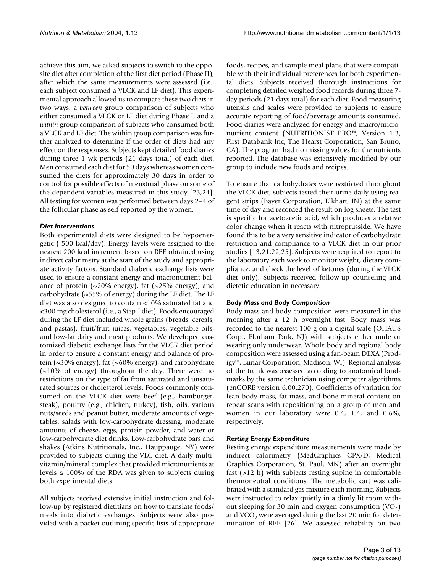achieve this aim, we asked subjects to switch to the opposite diet after completion of the first diet period (Phase II), after which the same measurements were assessed (i.e., each subject consumed a VLCK and LF diet). This experimental approach allowed us to compare these two diets in two ways: a *between* group comparison of subjects who either consumed a VLCK or LF diet during Phase I, and a *within* group comparison of subjects who consumed both a VLCK and LF diet. The within group comparison was further analyzed to determine if the order of diets had any effect on the responses. Subjects kept detailed food diaries during three 1 wk periods (21 days total) of each diet. Men consumed each diet for 50 days whereas women consumed the diets for approximately 30 days in order to control for possible effects of menstrual phase on some of the dependent variables measured in this study [23,24]. All testing for women was performed between days 2–4 of the follicular phase as self-reported by the women.

#### *Diet Interventions*

Both experimental diets were designed to be hypoenergetic (-500 kcal/day). Energy levels were assigned to the nearest 200 kcal increment based on REE obtained using indirect calorimetry at the start of the study and appropriate activity factors. Standard diabetic exchange lists were used to ensure a constant energy and macronutrient balance of protein ( $\sim$ 20% energy), fat ( $\sim$ 25% energy), and carbohydrate (~55% of energy) during the LF diet. The LF diet was also designed to contain <10% saturated fat and <300 mg cholesterol (i.e., a Step-I diet). Foods encouraged during the LF diet included whole grains (breads, cereals, and pastas), fruit/fruit juices, vegetables, vegetable oils, and low-fat dairy and meat products. We developed customized diabetic exchange lists for the VLCK diet period in order to ensure a constant energy and balance of protein (~30% energy), fat (~60% energy), and carbohydrate  $\sim$ 10% of energy) throughout the day. There were no restrictions on the type of fat from saturated and unsaturated sources or cholesterol levels. Foods commonly consumed on the VLCK diet were beef (e.g., hamburger, steak), poultry (e.g., chicken, turkey), fish, oils, various nuts/seeds and peanut butter, moderate amounts of vegetables, salads with low-carbohydrate dressing, moderate amounts of cheese, eggs, protein powder, and water or low-carbohydrate diet drinks. Low-carbohydrate bars and shakes (Atkins Nutritionals, Inc., Hauppauge, NY) were provided to subjects during the VLC diet. A daily multivitamin/mineral complex that provided micronutrients at levels  $\leq 100\%$  of the RDA was given to subjects during both experimental diets.

All subjects received extensive initial instruction and follow-up by registered dietitians on how to translate foods/ meals into diabetic exchanges. Subjects were also provided with a packet outlining specific lists of appropriate foods, recipes, and sample meal plans that were compatible with their individual preferences for both experimental diets. Subjects received thorough instructions for completing detailed weighed food records during three 7 day periods (21 days total) for each diet. Food measuring utensils and scales were provided to subjects to ensure accurate reporting of food/beverage amounts consumed. Food diaries were analyzed for energy and macro/micronutrient content (NUTRITIONIST PRO™, Version 1.3, First Databank Inc, The Hearst Corporation, San Bruno, CA). The program had no missing values for the nutrients reported. The database was extensively modified by our group to include new foods and recipes.

To ensure that carbohydrates were restricted throughout the VLCK diet, subjects tested their urine daily using reagent strips (Bayer Corporation, Elkhart, IN) at the same time of day and recorded the result on log sheets. The test is specific for acetoacetic acid, which produces a relative color change when it reacts with nitroprusside. We have found this to be a very sensitive indicator of carbohydrate restriction and compliance to a VLCK diet in our prior studies [13,21,22,25]. Subjects were required to report to the laboratory each week to monitor weight, dietary compliance, and check the level of ketones (during the VLCK diet only). Subjects received follow-up counseling and dietetic education in necessary.

### *Body Mass and Body Composition*

Body mass and body composition were measured in the morning after a 12 h overnight fast. Body mass was recorded to the nearest 100 g on a digital scale (OHAUS Corp., Florham Park, NJ) with subjects either nude or wearing only underwear. Whole body and regional body composition were assessed using a fan-beam DEXA (Prodigy™, Lunar Corporation, Madison, WI). Regional analysis of the trunk was assessed according to anatomical landmarks by the same technician using computer algorithms (enCORE version 6.00.270). Coefficients of variation for lean body mass, fat mass, and bone mineral content on repeat scans with repositioning on a group of men and women in our laboratory were 0.4, 1.4, and 0.6%, respectively.

### *Resting Energy Expenditure*

Resting energy expenditure measurements were made by indirect calorimetry (MedGraphics CPX/D, Medical Graphics Corporation, St. Paul, MN) after an overnight fast (>12 h) with subjects resting supine in comfortable thermoneutral conditions. The metabolic cart was calibrated with a standard gas mixture each morning. Subjects were instructed to relax quietly in a dimly lit room without sleeping for 30 min and oxygen consumption  $(VO<sub>2</sub>)$ and VCO<sub>2</sub> were averaged during the last 20 min for determination of REE [26]. We assessed reliability on two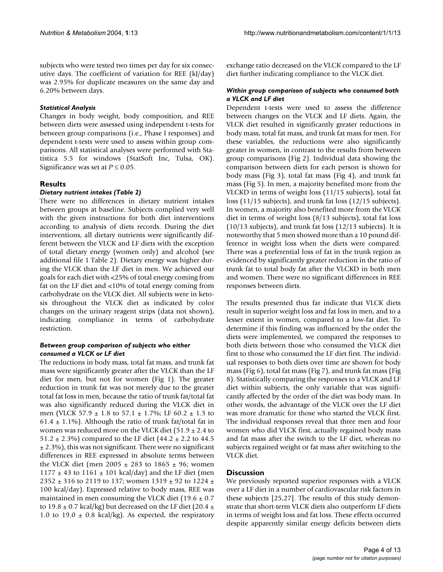subjects who were tested two times per day for six consecutive days. The coefficient of variation for REE (kJ/day) was 2.95% for duplicate measures on the same day and 6.20% between days.

#### *Statistical Analysis*

Changes in body weight, body composition, and REE between diets were assessed using independent t-tests for between group comparisons (i.e., Phase I responses) and dependent t-tests were used to assess within group comparisons. All statistical analyses were performed with Statistica 5.5 for windows (StatSoft Inc, Tulsa, OK). Significance was set at  $P \leq 0.05$ .

#### **Results**

#### *Dietary nutrient intakes (Table 2)*

There were no differences in dietary nutrient intakes between groups at baseline. Subjects complied very well with the given instructions for both diet interventions according to analysis of diets records. During the diet interventions, all dietary nutrients were significantly different between the VLCK and LF diets with the exception of total dietary energy (women only) and alcohol (see additional file 1 Table 2). Dietary energy was higher during the VLCK than the LF diet in men. We achieved our goals for each diet with <25% of total energy coming from fat on the LF diet and <10% of total energy coming from carbohydrate on the VLCK diet. All subjects were in ketosis throughout the VLCK diet as indicated by color changes on the urinary reagent strips (data not shown), indicating compliance in terms of carbohydrate restriction.

#### *Between group comparison of subjects who either consumed a VLCK or LF diet*

The reductions in body mass, total fat mass, and trunk fat mass were significantly greater after the VLCK than the LF diet for men, but not for women (Fig [1](#page-4-0)). The greater reduction in trunk fat was not merely due to the greater total fat loss in men, because the ratio of trunk fat/total fat was also significantly reduced during the VLCK diet in men (VLCK 57.9 ± 1.8 to 57.1 ± 1.7%; LF 60.2 ± 1.3 to 61.4  $\pm$  1.1%). Although the ratio of trunk fat/total fat in women was reduced more on the VLCK diet (51.9  $\pm$  2.4 to 51.2  $\pm$  2.3%) compared to the LF diet (44.2  $\pm$  2.2 to 44.5  $\pm$  2.3%), this was not significant. There were no significant differences in REE expressed in absolute terms between the VLCK diet (men 2005  $\pm$  283 to 1865  $\pm$  96; women  $1177 \pm 43$  to  $1161 \pm 101$  kcal/day) and the LF diet (men 2352  $\pm$  316 to 2119 to 137; women 1319  $\pm$  92 to 1224  $\pm$ 100 kcal/day). Expressed relative to body mass, REE was maintained in men consuming the VLCK diet (19.6  $\pm$  0.7 to 19.8  $\pm$  0.7 kcal/kg) but decreased on the LF diet (20.4  $\pm$ 1.0 to 19.0  $\pm$  0.8 kcal/kg). As expected, the respiratory exchange ratio decreased on the VLCK compared to the LF diet further indicating compliance to the VLCK diet.

#### *Within group comparison of subjects who consumed both a VLCK and LF diet*

Dependent t-tests were used to assess the difference between changes on the VLCK and LF diets. Again, the VLCK diet resulted in significantly greater reductions in body mass, total fat mass, and trunk fat mass for men. For these variables, the reductions were also significantly greater in women, in contrast to the results from between group comparisons (Fig [2\)](#page-5-0). Individual data showing the comparison between diets for each person is shown for body mass (Fig [3\)](#page-6-0), total fat mass (Fig [4\)](#page-7-0), and trunk fat mass (Fig [5\)](#page-8-0). In men, a majority benefited more from the VLCKD in terms of weight loss (11/15 subjects), total fat loss (11/15 subjects), and trunk fat loss (12/15 subjects). In women, a majority also benefited more from the VLCK diet in terms of weight loss (8/13 subjects), total fat loss (10/13 subjects), and trunk fat loss (12/13 subjects). It is noteworthy that 5 men showed more than a 10 pound difference in weight loss when the diets were compared. There was a preferential loss of fat in the trunk region as evidenced by significantly greater reduction in the ratio of trunk fat to total body fat after the VLCKD in both men and women. There were no significant differences in REE responses between diets.

The results presented thus far indicate that VLCK diets result in superior weight loss and fat loss in men, and to a lesser extent in women, compared to a low-fat diet. To determine if this finding was influenced by the order the diets were implemented, we compared the responses to both diets between those who consumed the VLCK diet first to those who consumed the LF diet first. The individual responses to both diets over time are shown for body mass (Fig [6](#page-9-0)), total fat mass (Fig [7\)](#page-10-0), and trunk fat mass (Fig [8](#page-11-0)). Statistically comparing the responses to a VLCK and LF diet within subjects, the only variable that was significantly affected by the order of the diet was body mass. In other words, the advantage of the VLCK over the LF diet was more dramatic for those who started the VLCK first. The individual responses reveal that three men and four women who did VLCK first, actually regained body mass and fat mass after the switch to the LF diet, whereas no subjects regained weight or fat mass after switching to the VLCK diet.

#### **Discussion**

We previously reported superior responses with a VLCK over a LF diet in a number of cardiovascular risk factors in these subjects [25,27]. The results of this study demonstrate that short-term VLCK diets also outperform LF diets in terms of weight loss and fat loss. These effects occurred despite apparently similar energy deficits between diets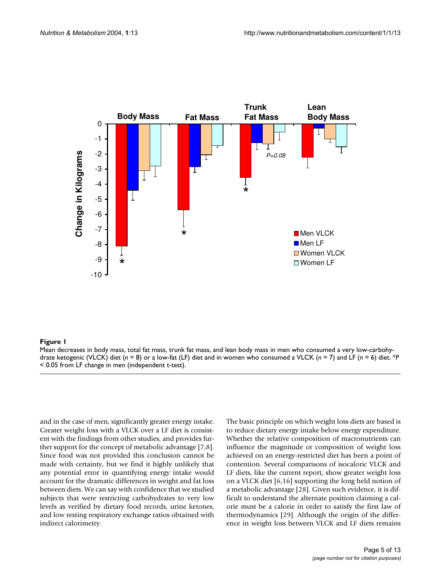<span id="page-4-0"></span>

#### **Figure 1** Mean decreases in body mass, total fat ma drate ketogenic (VLCK) diet (*n* = 8) or a low-fat (LF) diet and ss, trunk fat mass, and lean body mass in women who consumed a VLCK ( in men who consumed a very low-carbohy- *n* = 7) and LF (*n* = 6) diet

Mean decreases in body mass, total fat mass, trunk fat mass, and lean body mass in men who consumed a very low-carbohydrate ketogenic (VLCK) diet (*n* = 8) or a low-fat (LF) diet and in women who consumed a VLCK (*n* = 7) and LF (*n* = 6) diet. \**P*  < 0.05 from LF change in men (independent t-test).

and in the case of men, significantly greater energy intake. Greater weight loss with a VLCK over a LF diet is consistent with the findings from other studies, and provides further support for the concept of metabolic advantage [7,8]. Since food was not provided this conclusion cannot be made with certainty, but we find it highly unlikely that any potential error in quantifying energy intake would account for the dramatic differences in weight and fat loss between diets. We can say with confidence that we studied subjects that were restricting carbohydrates to very low levels as verified by dietary food records, urine ketones, and low resting respiratory exchange ratios obtained with indirect calorimetry.

The basic principle on which weight loss diets are based is to reduce dietary energy intake below energy expenditure. Whether the relative composition of macronutrients can influence the magnitude or composition of weight loss achieved on an energy-restricted diet has been a point of contention. Several comparisons of isocaloric VLCK and LF diets, like the current report, show greater weight loss on a VLCK diet [6,16] supporting the long held notion of a metabolic advantage [28]. Given such evidence, it is difficult to understand the alternate position claiming a calorie must be a calorie in order to satisfy the first law of thermodynamics [29]. Although the origin of the difference in weight loss between VLCK and LF diets remains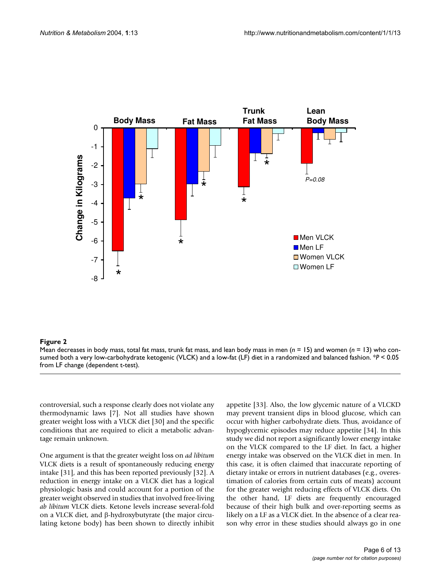<span id="page-5-0"></span>

#### Figure 2 and 2008 and 2008 and 2008 and 2008 and 2008 and 2008 and 2008 and 2008 and 2008 and 2008 and 2008 an

Mean decreases in body mass, total fat mass, trunk fat mass, and lean body mass in men (*n* = 15) and women (*n* = 13) who consumed both a very low-carbohydrate ketogenic (VLCK) and a low-fat (LF) diet in a randomized and balanced fashion. \**P* < 0.05 from LF change (dependent t-test).

controversial, such a response clearly does not violate any thermodynamic laws [7]. Not all studies have shown greater weight loss with a VLCK diet [30] and the specific conditions that are required to elicit a metabolic advantage remain unknown.

One argument is that the greater weight loss on *ad libitum* VLCK diets is a result of spontaneously reducing energy intake [31], and this has been reported previously [32]. A reduction in energy intake on a VLCK diet has a logical physiologic basis and could account for a portion of the greater weight observed in studies that involved free-living *ab libitum* VLCK diets. Ketone levels increase several-fold on a VLCK diet, and β-hydroxybutyrate (the major circulating ketone body) has been shown to directly inhibit appetite [33]. Also, the low glycemic nature of a VLCKD may prevent transient dips in blood glucose, which can occur with higher carbohydrate diets. Thus, avoidance of hypoglycemic episodes may reduce appetite [34]. In this study we did not report a significantly lower energy intake on the VLCK compared to the LF diet. In fact, a higher energy intake was observed on the VLCK diet in men. In this case, it is often claimed that inaccurate reporting of dietary intake or errors in nutrient databases (e.g., overestimation of calories from certain cuts of meats) account for the greater weight reducing effects of VLCK diets. On the other hand, LF diets are frequently encouraged because of their high bulk and over-reporting seems as likely on a LF as a VLCK diet. In the absence of a clear reason why error in these studies should always go in one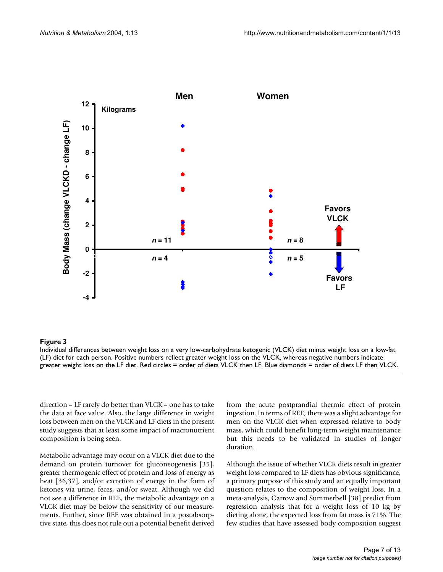<span id="page-6-0"></span>

#### Individual differences between weight loss (LF) diet for each person **Figure 3** on a very low-carbohydrate ketogenic (VLCK) diet minus weight loss on a low-fat

Individual differences between weight loss on a very low-carbohydrate ketogenic (VLCK) diet minus weight loss on a low-fat (LF) diet for each person. Positive numbers reflect greater weight loss on the VLCK, whereas negative numbers indicate greater weight loss on the LF diet. Red circles = order of diets VLCK then LF. Blue diamonds = order of diets LF then VLCK.

direction – LF rarely do better than VLCK – one has to take the data at face value. Also, the large difference in weight loss between men on the VLCK and LF diets in the present study suggests that at least some impact of macronutrient composition is being seen.

Metabolic advantage may occur on a VLCK diet due to the demand on protein turnover for gluconeogenesis [35], greater thermogenic effect of protein and loss of energy as heat [36,37], and/or excretion of energy in the form of ketones via urine, feces, and/or sweat. Although we did not see a difference in REE, the metabolic advantage on a VLCK diet may be below the sensitivity of our measurements. Further, since REE was obtained in a postabsorptive state, this does not rule out a potential benefit derived

from the acute postprandial thermic effect of protein ingestion. In terms of REE, there was a slight advantage for men on the VLCK diet when expressed relative to body mass, which could benefit long-term weight maintenance but this needs to be validated in studies of longer duration.

Although the issue of whether VLCK diets result in greater weight loss compared to LF diets has obvious significance, a primary purpose of this study and an equally important question relates to the composition of weight loss. In a meta-analysis, Garrow and Summerbell [38] predict from regression analysis that for a weight loss of 10 kg by dieting alone, the expected loss from fat mass is 71%. The few studies that have assessed body composition suggest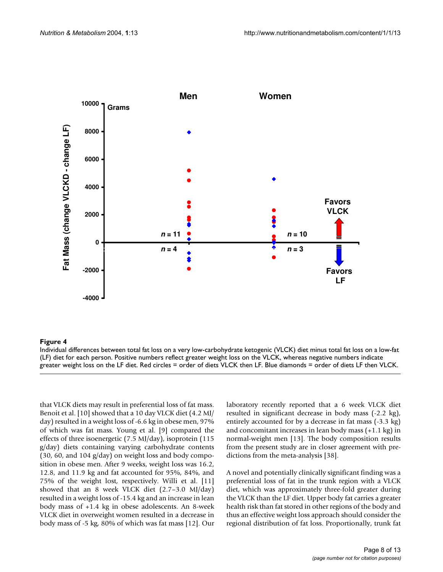<span id="page-7-0"></span>

#### Individual differences between total fat loss (LF) diet for each person **Figure 4** on a very low-carbohydrate ketogenic (VLCK) diet minus total fat loss on a low-fat

Individual differences between total fat loss on a very low-carbohydrate ketogenic (VLCK) diet minus total fat loss on a low-fat (LF) diet for each person. Positive numbers reflect greater weight loss on the VLCK, whereas negative numbers indicate greater weight loss on the LF diet. Red circles = order of diets VLCK then LF. Blue diamonds = order of diets LF then VLCK.

that VLCK diets may result in preferential loss of fat mass. Benoit et al. [10] showed that a 10 day VLCK diet (4.2 MJ/ day) resulted in a weight loss of -6.6 kg in obese men, 97% of which was fat mass. Young et al. [9] compared the effects of three isoenergetic (7.5 MJ/day), isoprotein (115 g/day) diets containing varying carbohydrate contents (30, 60, and 104 g/day) on weight loss and body composition in obese men. After 9 weeks, weight loss was 16.2, 12.8, and 11.9 kg and fat accounted for 95%, 84%, and 75% of the weight lost, respectively. Willi et al. [11] showed that an 8 week VLCK diet (2.7–3.0 MJ/day) resulted in a weight loss of -15.4 kg and an increase in lean body mass of +1.4 kg in obese adolescents. An 8-week VLCK diet in overweight women resulted in a decrease in body mass of -5 kg, 80% of which was fat mass [12]. Our

laboratory recently reported that a 6 week VLCK diet resulted in significant decrease in body mass (-2.2 kg), entirely accounted for by a decrease in fat mass (-3.3 kg) and concomitant increases in lean body mass (+1.1 kg) in normal-weight men [13]. The body composition results from the present study are in closer agreement with predictions from the meta-analysis [38].

A novel and potentially clinically significant finding was a preferential loss of fat in the trunk region with a VLCK diet, which was approximately three-fold greater during the VLCK than the LF diet. Upper body fat carries a greater health risk than fat stored in other regions of the body and thus an effective weight loss approach should consider the regional distribution of fat loss. Proportionally, trunk fat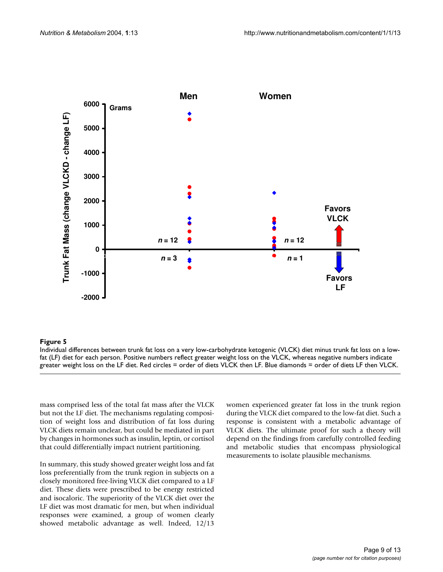<span id="page-8-0"></span>

#### fat (LF) diet for each person **Figure 5** Individual differences between trunk fat loss on a very low-carbohydrate ketogenic (VLCK) diet minus trunk fat loss on a low-

Individual differences between trunk fat loss on a very low-carbohydrate ketogenic (VLCK) diet minus trunk fat loss on a lowfat (LF) diet for each person. Positive numbers reflect greater weight loss on the VLCK, whereas negative numbers indicate greater weight loss on the LF diet. Red circles = order of diets VLCK then LF. Blue diamonds = order of diets LF then VLCK.

mass comprised less of the total fat mass after the VLCK but not the LF diet. The mechanisms regulating composition of weight loss and distribution of fat loss during VLCK diets remain unclear, but could be mediated in part by changes in hormones such as insulin, leptin, or cortisol that could differentially impact nutrient partitioning.

In summary, this study showed greater weight loss and fat loss preferentially from the trunk region in subjects on a closely monitored free-living VLCK diet compared to a LF diet. These diets were prescribed to be energy restricted and isocaloric. The superiority of the VLCK diet over the LF diet was most dramatic for men, but when individual responses were examined, a group of women clearly showed metabolic advantage as well. Indeed, 12/13

women experienced greater fat loss in the trunk region during the VLCK diet compared to the low-fat diet. Such a response is consistent with a metabolic advantage of VLCK diets. The ultimate proof for such a theory will depend on the findings from carefully controlled feeding and metabolic studies that encompass physiological measurements to isolate plausible mechanisms.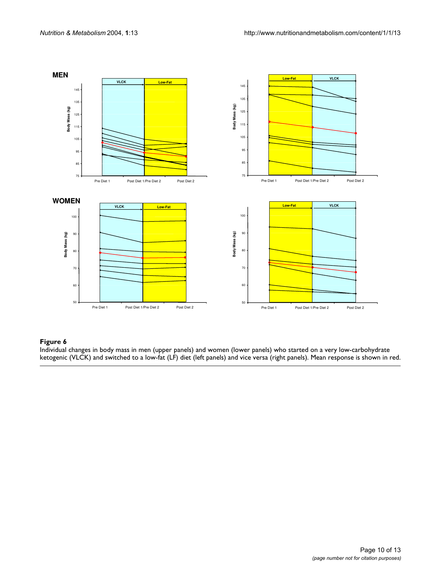<span id="page-9-0"></span>

#### Figure 6  $\,$

Individual changes in body mass in men (upper panels) and women (lower panels) who started on a very low-carbohydrate ketogenic (VLCK) and switched to a low-fat (LF) diet (left panels) and vice versa (right panels). Mean response is shown in red.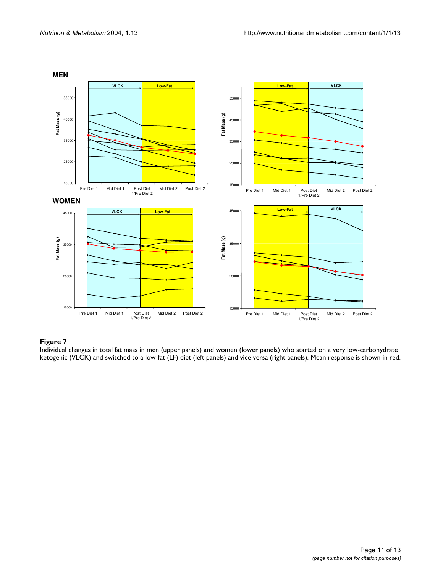<span id="page-10-0"></span>

#### Individual changes in total fat mass in men (upper panels) and **Figure 7** ketogenic (VLCK) and switched to a low-fat (LF) diet (left panels women (lower panels) who starte ) and vice versa (right panels) d on a very low-carbohydrate

Individual changes in total fat mass in men (upper panels) and women (lower panels) who started on a very low-carbohydrate ketogenic (VLCK) and switched to a low-fat (LF) diet (left panels) and vice versa (right panels). Mean response is shown in red.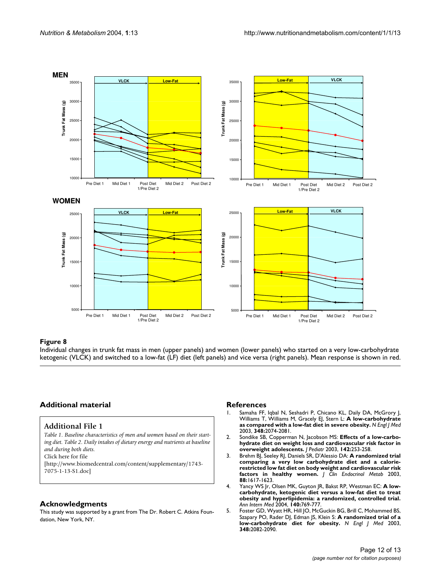<span id="page-11-0"></span>

#### **Figure 8** ketogenic (VLCK) and switched to Individual changes in trunk fat mass in a low-fat (LF) diet (left panels men (upper panels) and women (lower panels) ) and vice versa (right panels) who started on a very low-carbohydrate

Individual changes in trunk fat mass in men (upper panels) and women (lower panels) who started on a very low-carbohydrate ketogenic (VLCK) and switched to a low-fat (LF) diet (left panels) and vice versa (right panels). Mean response is shown in red.

#### **Additional material**

#### **Additional File 1**

*Table 1. Baseline characteristics of men and women based on their starting diet. Table 2. Daily intakes of dietary energy and nutrients at baseline and during both diets.* Click here for file

[\[http://www.biomedcentral.com/content/supplementary/1743-](http://www.biomedcentral.com/content/supplementary/1743-7075-1-13-S1.doc) 7075-1-13-S1.doc]

#### **Acknowledgments**

This study was supported by a grant from The Dr. Robert C. Atkins Foundation, New York, NY.

#### **References**

- 1. Samaha FF, Iqbal N, Seshadri P, Chicano KL, Daily DA, McGrory J, Williams T, Williams M, Gracely EJ, Stern L: **[A low-carbohydrate](http://www.ncbi.nlm.nih.gov/entrez/query.fcgi?cmd=Retrieve&db=PubMed&dopt=Abstract&list_uids=12761364) [as compared with a low-fat diet in severe obesity.](http://www.ncbi.nlm.nih.gov/entrez/query.fcgi?cmd=Retrieve&db=PubMed&dopt=Abstract&list_uids=12761364)** *N Engl J Med* 2003, **348:**2074-2081.
- 2. Sondike SB, Copperman N, Jacobson MS: **[Effects of a low-carbo](http://www.ncbi.nlm.nih.gov/entrez/query.fcgi?cmd=Retrieve&db=PubMed&dopt=Abstract&list_uids=12640371)[hydrate diet on weight loss and cardiovascular risk factor in](http://www.ncbi.nlm.nih.gov/entrez/query.fcgi?cmd=Retrieve&db=PubMed&dopt=Abstract&list_uids=12640371) [overweight adolescents.](http://www.ncbi.nlm.nih.gov/entrez/query.fcgi?cmd=Retrieve&db=PubMed&dopt=Abstract&list_uids=12640371)** *J Pediatr* 2003, **142:**253-258.
- 3. Brehm BJ, Seeley RJ, Daniels SR, D'Alessio DA: **[A randomized trial](http://www.ncbi.nlm.nih.gov/entrez/query.fcgi?cmd=Retrieve&db=PubMed&dopt=Abstract&list_uids=12679447) [comparing a very low carbohydrate diet and a calorie](http://www.ncbi.nlm.nih.gov/entrez/query.fcgi?cmd=Retrieve&db=PubMed&dopt=Abstract&list_uids=12679447)restricted low fat diet on body weight and cardiovascular risk [factors in healthy women.](http://www.ncbi.nlm.nih.gov/entrez/query.fcgi?cmd=Retrieve&db=PubMed&dopt=Abstract&list_uids=12679447)** *J Clin Endocrinol Metab* 2003, **88:**1617-1623.
- 4. Yancy WS Jr, Olsen MK, Guyton JR, Bakst RP, Westman EC: **[A low](http://www.ncbi.nlm.nih.gov/entrez/query.fcgi?cmd=Retrieve&db=PubMed&dopt=Abstract&list_uids=15148063)[carbohydrate, ketogenic diet versus a low-fat diet to treat](http://www.ncbi.nlm.nih.gov/entrez/query.fcgi?cmd=Retrieve&db=PubMed&dopt=Abstract&list_uids=15148063) obesity and hyperlipidemia: a randomized, controlled trial.** *Ann Intern Med* 2004, **140:**769-777.
- 5. Foster GD, Wyatt HR, Hill JO, McGuckin BG, Brill C, Mohammed BS, Szapary PO, Rader DJ, Edman JS, Klein S: **[A randomized trial of a](http://www.ncbi.nlm.nih.gov/entrez/query.fcgi?cmd=Retrieve&db=PubMed&dopt=Abstract&list_uids=12761365) [low-carbohydrate diet for obesity.](http://www.ncbi.nlm.nih.gov/entrez/query.fcgi?cmd=Retrieve&db=PubMed&dopt=Abstract&list_uids=12761365)** *N Engl J Med* 2003, **348:**2082-2090.